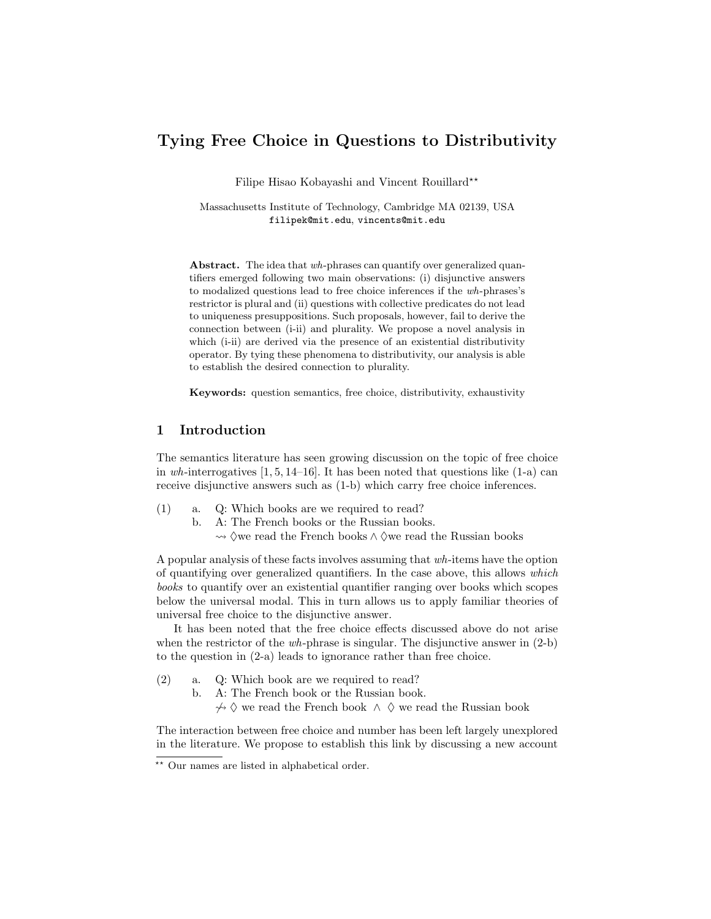# Tying Free Choice in Questions to Distributivity

Filipe Hisao Kobayashi and Vincent Rouillard<sup>\*\*</sup>

Massachusetts Institute of Technology, Cambridge MA 02139, USA filipek@mit.edu, vincents@mit.edu

Abstract. The idea that wh-phrases can quantify over generalized quantifiers emerged following two main observations: (i) disjunctive answers to modalized questions lead to free choice inferences if the wh-phrases's restrictor is plural and (ii) questions with collective predicates do not lead to uniqueness presuppositions. Such proposals, however, fail to derive the connection between (i-ii) and plurality. We propose a novel analysis in which (i-ii) are derived via the presence of an existential distributivity operator. By tying these phenomena to distributivity, our analysis is able to establish the desired connection to plurality.

Keywords: question semantics, free choice, distributivity, exhaustivity

## 1 Introduction

The semantics literature has seen growing discussion on the topic of free choice in wh-interrogatives  $[1, 5, 14-16]$ . It has been noted that questions like  $(1-a)$  can receive disjunctive answers such as (1-b) which carry free choice inferences.

- (1) a. Q: Which books are we required to read?
	- b. A: The French books or the Russian books.
		- $\leadsto$   $\Diamond$ we read the French books ∧  $\Diamond$  we read the Russian books

A popular analysis of these facts involves assuming that wh-items have the option of quantifying over generalized quantifiers. In the case above, this allows which books to quantify over an existential quantifier ranging over books which scopes below the universal modal. This in turn allows us to apply familiar theories of universal free choice to the disjunctive answer.

It has been noted that the free choice effects discussed above do not arise when the restrictor of the *wh*-phrase is singular. The disjunctive answer in  $(2-b)$ to the question in (2-a) leads to ignorance rather than free choice.

- (2) a. Q: Which book are we required to read?
	- b. A: The French book or the Russian book.

 $\rightarrow$  ♦ ♦ we read the French book  $\land$  ♦ we read the Russian book

The interaction between free choice and number has been left largely unexplored in the literature. We propose to establish this link by discussing a new account

<sup>\*\*</sup> Our names are listed in alphabetical order.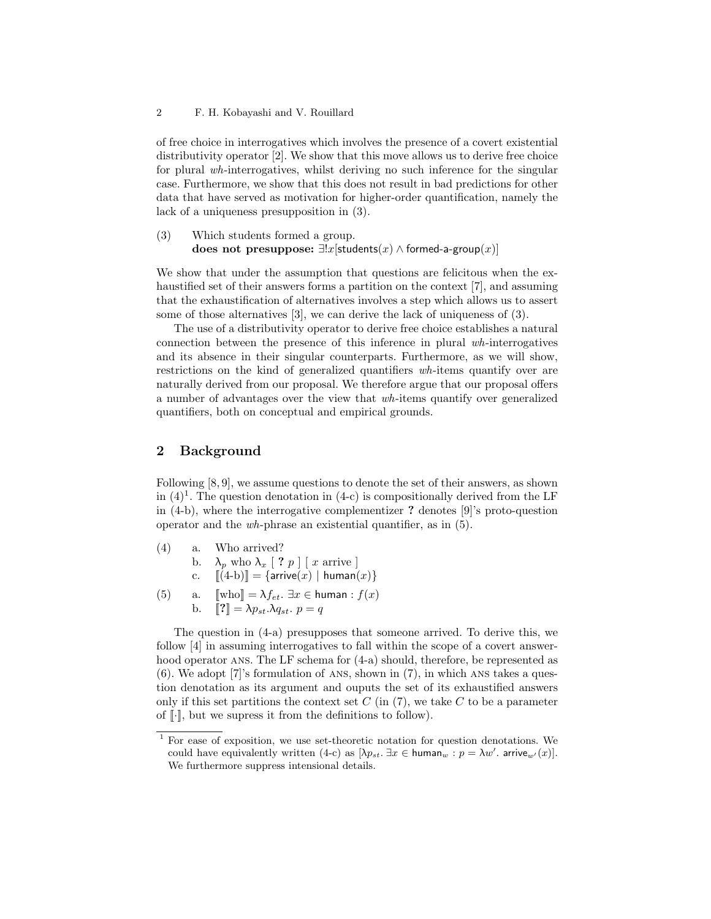of free choice in interrogatives which involves the presence of a covert existential distributivity operator [2]. We show that this move allows us to derive free choice for plural wh-interrogatives, whilst deriving no such inference for the singular case. Furthermore, we show that this does not result in bad predictions for other data that have served as motivation for higher-order quantification, namely the lack of a uniqueness presupposition in (3).

(3) Which students formed a group. does not presuppose:  $\exists !x$ [students $(x) \land$  formed-a-group $(x)$ ]

We show that under the assumption that questions are felicitous when the exhaustified set of their answers forms a partition on the context [7], and assuming that the exhaustification of alternatives involves a step which allows us to assert some of those alternatives [3], we can derive the lack of uniqueness of (3).

The use of a distributivity operator to derive free choice establishes a natural connection between the presence of this inference in plural wh-interrogatives and its absence in their singular counterparts. Furthermore, as we will show, restrictions on the kind of generalized quantifiers wh-items quantify over are naturally derived from our proposal. We therefore argue that our proposal offers a number of advantages over the view that wh-items quantify over generalized quantifiers, both on conceptual and empirical grounds.

## 2 Background

Following [8, 9], we assume questions to denote the set of their answers, as shown in  $(4)^1$ . The question denotation in  $(4-c)$  is compositionally derived from the LF in (4-b), where the interrogative complementizer ? denotes [9]'s proto-question operator and the wh-phrase an existential quantifier, as in (5).

- (4) a. Who arrived? b.  $\lambda_p$  who  $\lambda_x$  [ ?  $p$  ] [ x arrive ] c.  $[(4-b)] = {arrive(x) | human(x)}$
- (5) a.  $[\![\text{who}]\!] = \lambda f_{et}$ .  $\exists x \in \text{human}: f(x)$ b.  $[\![?]\!] = \lambda p_{st} \cdot \lambda q_{st}$ .  $p = q$

The question in (4-a) presupposes that someone arrived. To derive this, we follow [4] in assuming interrogatives to fall within the scope of a covert answerhood operator ANS. The LF schema for  $(4-a)$  should, therefore, be represented as (6). We adopt [7]'s formulation of ans, shown in (7), in which ans takes a question denotation as its argument and ouputs the set of its exhaustified answers only if this set partitions the context set  $C$  (in (7), we take  $C$  to be a parameter of  $\lceil \cdot \rceil$ , but we supress it from the definitions to follow).

<sup>&</sup>lt;sup>1</sup> For ease of exposition, we use set-theoretic notation for question denotations. We could have equivalently written (4-c) as  $[\lambda p_{st} \ldots \exists x \in \text{human}_{w} : p = \lambda w'$ . arrive<sub>w'</sub>(x). We furthermore suppress intensional details.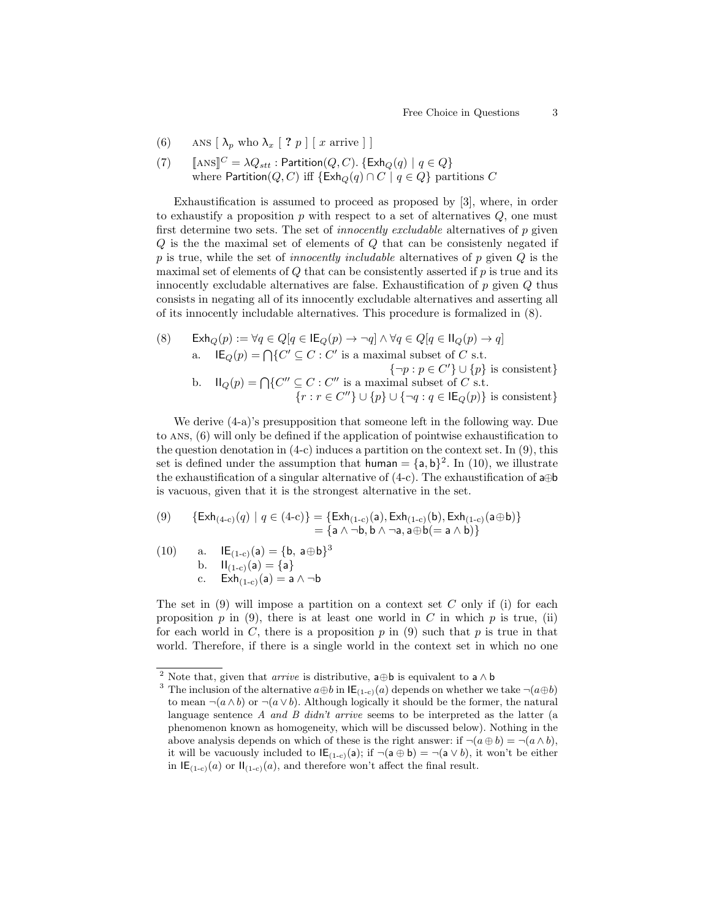(6) ANS  $\left[\lambda_p \text{ who } \lambda_x \mid ? p\right] \left[x \text{ arrive}\right]$ 

(7) 
$$
[\text{ANS}]^C = \lambda Q_{stt} : \text{Partition}(Q, C). \{\text{Exh}_Q(q) \mid q \in Q\}
$$
  
where Partition(Q, C) iff  $\{\text{Exh}_Q(q) \cap C \mid q \in Q\}$  partitions C

Exhaustification is assumed to proceed as proposed by [3], where, in order to exhaustify a proposition  $p$  with respect to a set of alternatives  $Q$ , one must first determine two sets. The set of *innocently excludable* alternatives of  $p$  given Q is the the maximal set of elements of Q that can be consistenly negated if p is true, while the set of *innocently includable* alternatives of p given  $Q$  is the maximal set of elements of  $Q$  that can be consistently asserted if  $p$  is true and its innocently excludable alternatives are false. Exhaustification of  $p$  given  $Q$  thus consists in negating all of its innocently excludable alternatives and asserting all of its innocently includable alternatives. This procedure is formalized in (8).

(8) 
$$
\operatorname{\mathsf{Exh}}_Q(p) := \forall q \in Q[q \in \operatorname{\mathsf{IE}}_Q(p) \to \neg q] \land \forall q \in Q[q \in \operatorname{\mathsf{II}}_Q(p) \to q]
$$
\na. 
$$
\operatorname{\mathsf{IE}}_Q(p) = \bigcap \{ C' \subseteq C : C' \text{ is a maximal subset of } C \text{ s.t. } \{\neg p : p \in C'\} \cup \{p\} \text{ is consistent} \}
$$
\nb. 
$$
\operatorname{\mathsf{II}}_Q(p) = \bigcap \{ C'' \subseteq C : C'' \text{ is a maximal subset of } C \text{ s.t. } \{ r : r \in C'' \} \cup \{p\} \cup \{\neg q : q \in \operatorname{\mathsf{IE}}_Q(p)\} \text{ is consistent} \}
$$

We derive (4-a)'s presupposition that someone left in the following way. Due to ans, (6) will only be defined if the application of pointwise exhaustification to the question denotation in  $(4-c)$  induces a partition on the context set. In  $(9)$ , this set is defined under the assumption that human =  ${a, b}^2$ . In (10), we illustrate the exhaustification of a singular alternative of  $(4-c)$ . The exhaustification of a⊕b is vacuous, given that it is the strongest alternative in the set.

$$
\begin{array}{ll} (9) & \{ \operatorname{Exh}_{(4-c)}(q) \mid q \in (4-c) \} = \{ \operatorname{Exh}_{(1-c)}(\mathsf{a}), \operatorname{Exh}_{(1-c)}(\mathsf{b}), \operatorname{Exh}_{(1-c)}(\mathsf{a} \oplus \mathsf{b}) \} \\ & = \{ \mathsf{a} \wedge \neg \mathsf{b}, \mathsf{b} \wedge \neg \mathsf{a}, \mathsf{a} \oplus \mathsf{b} (= \mathsf{a} \wedge \mathsf{b}) \} \end{array}
$$

(10) a. 
$$
IE_{(1-c)}(a) = \{b, a \oplus b\}^3
$$
  
b.  $II_{(1-c)}(a) = \{a\}$   
c.  $Exh_{(1-c)}(a) = a \wedge \neg b$ 

The set in  $(9)$  will impose a partition on a context set C only if (i) for each proposition  $p$  in (9), there is at least one world in C in which  $p$  is true, (ii) for each world in C, there is a proposition  $p$  in (9) such that  $p$  is true in that world. Therefore, if there is a single world in the context set in which no one

 $^2$  Note that, given that  $\emph{arrive}$  is distributive,  $\mathsf{a} \oplus \mathsf{b}$  is equivalent to  $\mathsf{a} \wedge \mathsf{b}$ 

<sup>&</sup>lt;sup>3</sup> The inclusion of the alternative  $a \oplus b$  in  $\mathsf{IE}_{(1-c)}(a)$  depends on whether we take  $\neg(a \oplus b)$ to mean  $\neg(a \land b)$  or  $\neg(a \lor b)$ . Although logically it should be the former, the natural language sentence  $A$  and  $B$  didn't arrive seems to be interpreted as the latter (a phenomenon known as homogeneity, which will be discussed below). Nothing in the above analysis depends on which of these is the right answer: if  $\neg(a \oplus b) = \neg(a \wedge b)$ , it will be vacuously included to  $\mathsf{IE}_{(1-c)}(a)$ ; if  $\neg(a \oplus b) = \neg(a \vee b)$ , it won't be either in  $IE_{(1-c)}(a)$  or  $II_{(1-c)}(a)$ , and therefore won't affect the final result.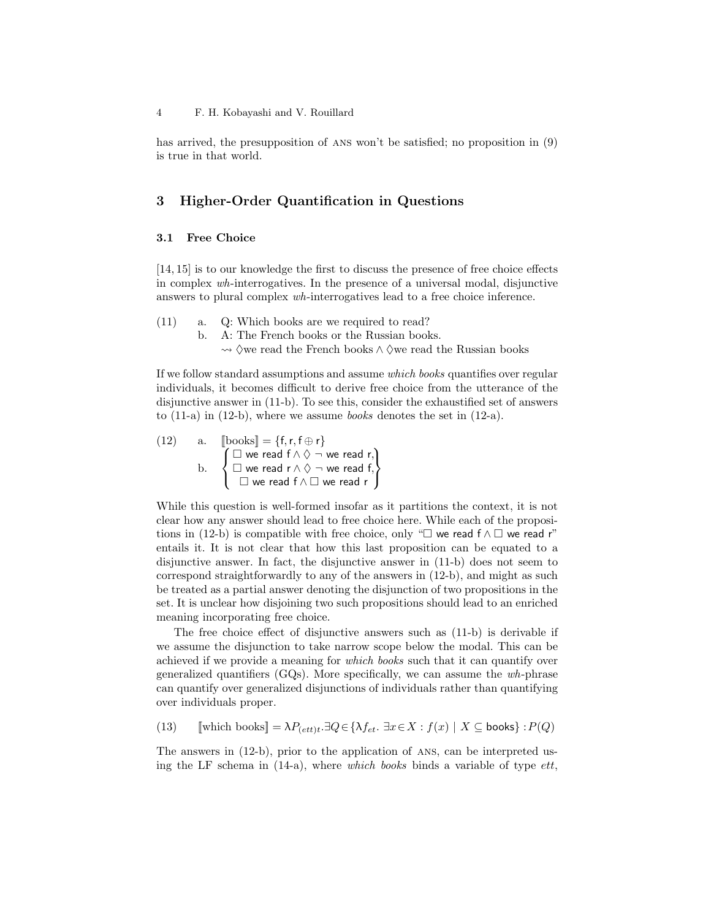has arrived, the presupposition of ans won't be satisfied; no proposition in (9) is true in that world.

## 3 Higher-Order Quantification in Questions

## 3.1 Free Choice

[14, 15] is to our knowledge the first to discuss the presence of free choice effects in complex wh-interrogatives. In the presence of a universal modal, disjunctive answers to plural complex wh-interrogatives lead to a free choice inference.

(11) a. Q: Which books are we required to read?

b. A: The French books or the Russian books.

→  $\Diamond$ we read the French books  $\land \Diamond$ we read the Russian books

If we follow standard assumptions and assume which books quantifies over regular individuals, it becomes difficult to derive free choice from the utterance of the disjunctive answer in (11-b). To see this, consider the exhaustified set of answers to  $(11-a)$  in  $(12-b)$ , where we assume *books* denotes the set in  $(12-a)$ .

(12) a. 
$$
\begin{array}{ll}\n\text{books} &= \{f, r, f \oplus r\} \\
\text{b.} & \begin{cases}\n\Box \text{ we read } f \land \Diamond \neg \text{ we read } r, \\
\Box \text{ we read } r \land \Diamond \neg \text{ we read } f, \\
\Box \text{ we read } f \land \Box \text{ we read } r\n\end{cases}\n\end{array}
$$

While this question is well-formed insofar as it partitions the context, it is not clear how any answer should lead to free choice here. While each of the propositions in (12-b) is compatible with free choice, only " $\square$  we read f  $\wedge \square$  we read r" entails it. It is not clear that how this last proposition can be equated to a disjunctive answer. In fact, the disjunctive answer in (11-b) does not seem to correspond straightforwardly to any of the answers in (12-b), and might as such be treated as a partial answer denoting the disjunction of two propositions in the set. It is unclear how disjoining two such propositions should lead to an enriched meaning incorporating free choice.

The free choice effect of disjunctive answers such as (11-b) is derivable if we assume the disjunction to take narrow scope below the modal. This can be achieved if we provide a meaning for which books such that it can quantify over generalized quantifiers (GQs). More specifically, we can assume the wh-phrase can quantify over generalized disjunctions of individuals rather than quantifying over individuals proper.

(13) [which books] = 
$$
\lambda P_{(ett)t}.\exists Q \in \{\lambda f_{et}.\ \exists x \in X : f(x) \mid X \subseteq \text{books}\} : P(Q)
$$

The answers in (12-b), prior to the application of ans, can be interpreted using the LF schema in  $(14-a)$ , where which books binds a variable of type *ett*,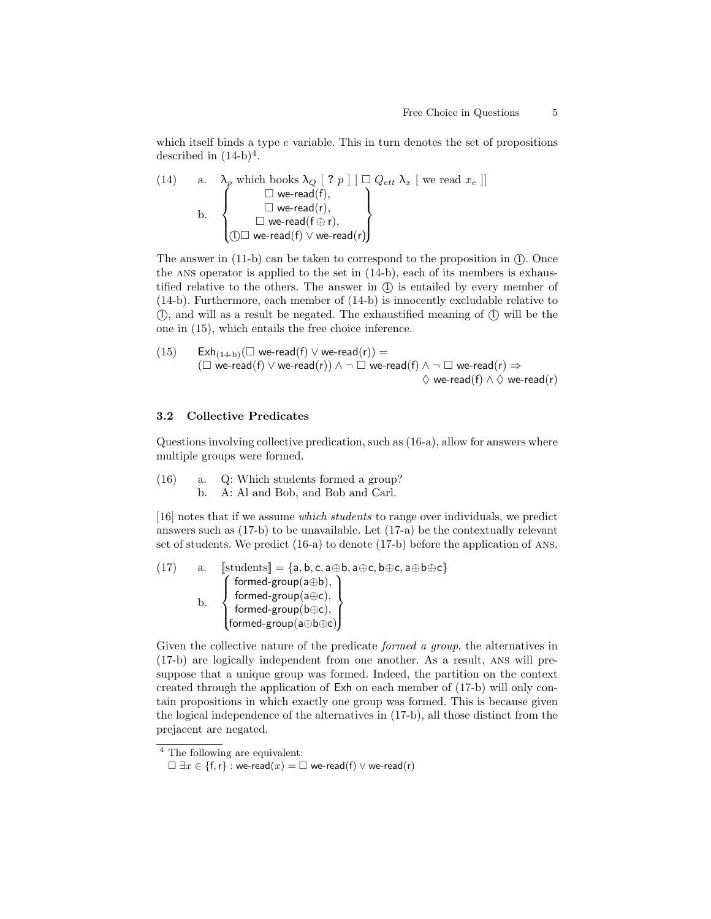which itself binds a type  $e$  variable. This in turn denotes the set of propositions described in  $(14-b)^4$ .

(14) a. 
$$
\lambda_p
$$
 which books  $\lambda_Q$  [ ? p ] [  $\square Q_{ett} \lambda_x$  [ we read  $x_e$  ]]  
b.  $\square$  we-read(r),  
 $\square$  we-read(r),  
 $\square$  we-read(r),  
 $\square$  we-read(r),  
 $\square$  we-read(r)

The answer in  $(11-b)$  can be taken to correspond to the proposition in  $(1)$ . Once the ans operator is applied to the set in (14-b), each of its members is exhaustified relative to the others. The answer in  $(1)$  is entailed by every member of (14-b). Furthermore, each member of (14-b) is innocently excludable relative to  $(1)$ , and will as a result be negated. The exhaustified meaning of  $(1)$  will be the one in (15), which entails the free choice inference.

$$
\begin{array}{lll} \text{(15)} & \quad \text{Exh}_{(14\textrm{-}b)}(\Box \textrm{ we-read}(f) \vee \textrm{ we-read}(r)) = \\ & (\Box \textrm{ we-read}(f) \vee \textrm{ we-read}(r)) \wedge \neg \ \Box \textrm{ we-read}(f) \wedge \neg \ \Box \textrm{ we-read}(r) \Rightarrow \\ & \quad \ \ \, \Diamond \textrm{ we-read}(f) \wedge \Diamond \textrm{ we-read}(r) \end{array}
$$

#### 3.2 Collective Predicates

Questions involving collective predication, such as (16-a), allow for answers where multiple groups were formed.

(16) a. Q: Which students formed a group? b. A: Al and Bob, and Bob and Carl.

[16] notes that if we assume which students to range over individuals, we predict answers such as (17-b) to be unavailable. Let (17-a) be the contextually relevant set of students. We predict (16-a) to denote (17-b) before the application of ans.

$$
(17) \qquad a. \quad \text{[students]} = \{a, b, c, a \oplus b, a \oplus c, b \oplus c, a \oplus b \oplus c\}
$$
\n
$$
b. \qquad \left\{\begin{matrix} formed_{\exists} = \{a, b, c, a \oplus b, a \oplus c, b \oplus c, a \oplus b \oplus c\} \\ formed_{\exists} = \{a, b, c, a \oplus b, a \oplus c, b \oplus c, a \oplus b \oplus c\} \\ formed_{\exists} = \{a, b, c, a \oplus b, a \oplus c, b \oplus c, a \oplus b \oplus c\} \\ formed_{\exists} = \{a, b, c, a \oplus b, a \oplus c, b \oplus c, a \oplus b \oplus c\} \end{matrix}\right\}
$$

Given the collective nature of the predicate *formed a group*, the alternatives in (17-b) are logically independent from one another. As a result, ans will presuppose that a unique group was formed. Indeed, the partition on the context created through the application of Exh on each member of (17-b) will only contain propositions in which exactly one group was formed. This is because given the logical independence of the alternatives in (17-b), all those distinct from the prejacent are negated.

<sup>4</sup> The following are equivalent:

 $\Box \exists x \in \{f, r\} :$  we-read $(x) = \Box$  we-read $(f) \lor$  we-read $(r)$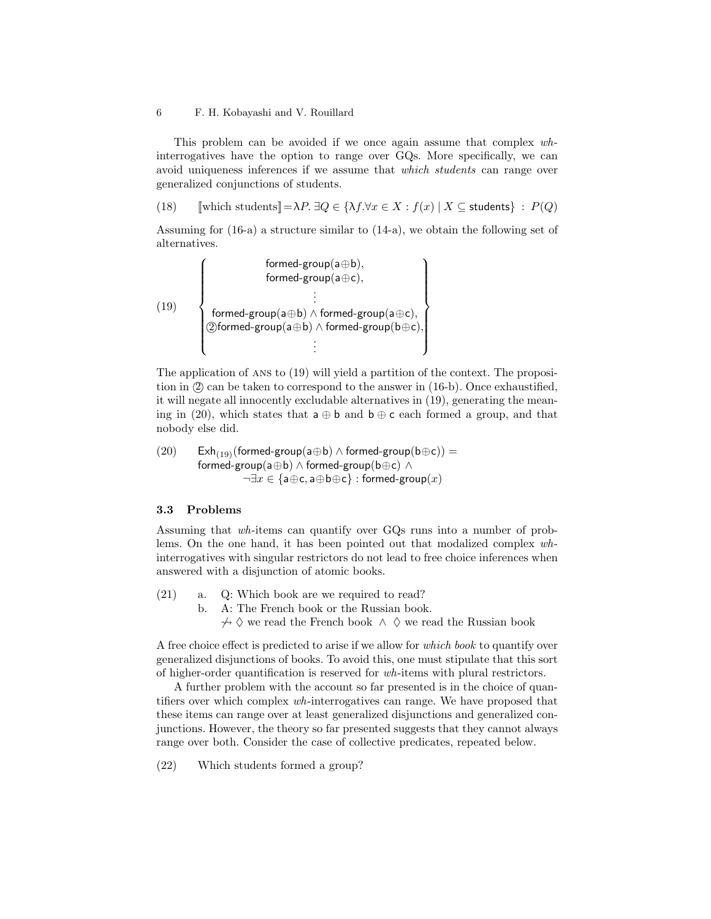#### 6 F. H. Kobayashi and V. Rouillard

This problem can be avoided if we once again assume that complex whinterrogatives have the option to range over GQs. More specifically, we can avoid uniqueness inferences if we assume that which students can range over generalized conjunctions of students.

(18) [[which students]  $=\lambda P$ .  $\exists Q \in {\lambda f}$ . $\forall x \in X : f(x) | X \subseteq$  students  $\} : P(Q)$ 

Assuming for (16-a) a structure similar to (14-a), we obtain the following set of alternatives.

$$
(19) \quad \left\{\begin{matrix} \quad\quad \text{formed-group}(a\oplus b),\\ \quad \text{formed-group}(a\oplus c),\\ \quad \ \ \, \vdots\\ \quad \ \ \, \text{formed-group}(a\oplus b)\land\text{formed-group}(a\oplus c),\\ \quad \ \ \, \text{Oformed-group}(a\oplus b)\land\text{formed-group}(b\oplus c),\\ \quad \ \ \, \vdots \quad \ \ \, \end{matrix}\right\}
$$

The application of ans to (19) will yield a partition of the context. The proposition in (2) can be taken to correspond to the answer in (16-b). Once exhaustified, it will negate all innocently excludable alternatives in (19), generating the meaning in (20), which states that  $a \oplus b$  and  $b \oplus c$  each formed a group, and that nobody else did.

(20) 
$$
\begin{array}{ll}\text{Exh}_{(19)}(\text{formed-group}(a \oplus b) \wedge \text{formed-group}(b \oplus c)) = \\ \text{formed-group}(a \oplus b) \wedge \text{formed-group}(b \oplus c) \wedge \\ \neg \exists x \in \{a \oplus c, a \oplus b \oplus c\} : \text{formed-group}(x) \end{array}
$$

#### 3.3 Problems

Assuming that wh-items can quantify over GQs runs into a number of problems. On the one hand, it has been pointed out that modalized complex whinterrogatives with singular restrictors do not lead to free choice inferences when answered with a disjunction of atomic books.

(21) a. Q: Which book are we required to read? b. A: The French book or the Russian book.  $\forall^{\phi}$   $\Diamond$  we read the French book  $\land$   $\Diamond$  we read the Russian book

A free choice effect is predicted to arise if we allow for which book to quantify over generalized disjunctions of books. To avoid this, one must stipulate that this sort of higher-order quantification is reserved for wh-items with plural restrictors.

A further problem with the account so far presented is in the choice of quantifiers over which complex wh-interrogatives can range. We have proposed that these items can range over at least generalized disjunctions and generalized conjunctions. However, the theory so far presented suggests that they cannot always range over both. Consider the case of collective predicates, repeated below.

(22) Which students formed a group?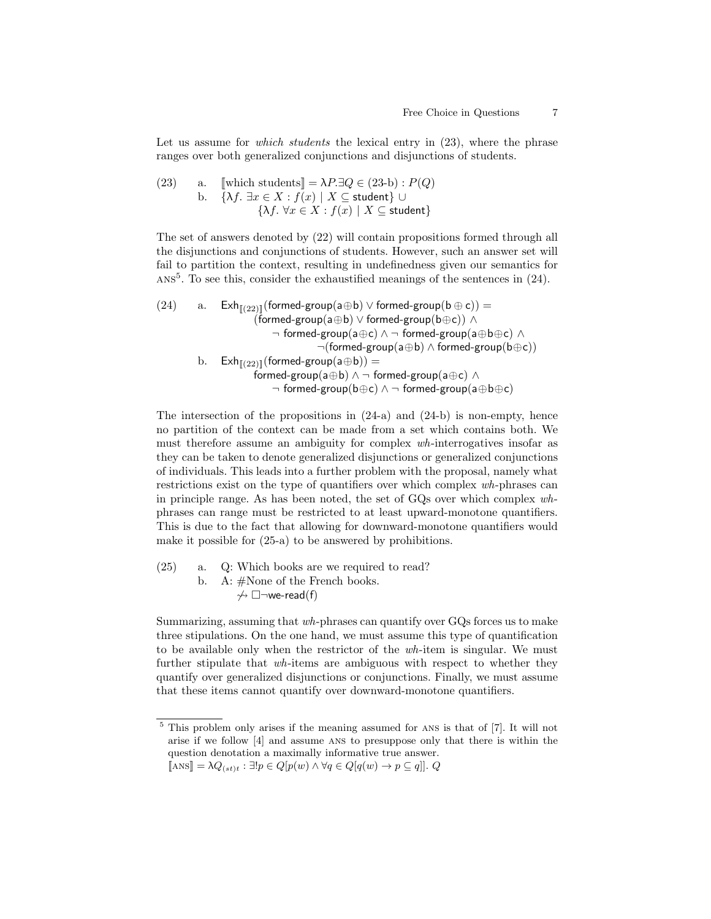Let us assume for *which students* the lexical entry in  $(23)$ , where the phrase ranges over both generalized conjunctions and disjunctions of students.

(23) a. [which students] = 
$$
\lambda P \cdot \exists Q \in (23-b) : P(Q)
$$
  
b. { $\lambda f \cdot \exists x \in X : f(x) | X \subseteq$  student}  $\cup$   
{ $\lambda f \cdot \forall x \in X : f(x) | X \subseteq$  student}

The set of answers denoted by (22) will contain propositions formed through all the disjunctions and conjunctions of students. However, such an answer set will fail to partition the context, resulting in undefinedness given our semantics for  $Ans<sup>5</sup>$ . To see this, consider the exhaustified meanings of the sentences in (24).

$$
(24) \qquad a. \qquad \text{Exh}_{[\![(22)]\!]}(\text{formed-group}(a \oplus b) \vee \text{formed-group}(b \oplus c)) = \\qquad \qquad (\text{formed-group}(a \oplus b) \vee \text{formed-group}(b \oplus c)) \wedge \\qquad \qquad \neg \text{ formed-group}(a \oplus b) \wedge \neg \text{formed-group}(a \oplus b \oplus c) \wedge \\qquad \qquad \neg (\text{formed-group}(a \oplus b) \wedge \text{formed-group}(b \oplus c)) \\qquad \qquad b. \qquad \text{Exh}_{[\![(22)]\!]}(\text{formed-group}(a \oplus b)) = \\qquad \qquad \text{formed-group}(a \oplus b) \wedge \neg \text{ formed-group}(a \oplus c) \wedge \\qquad \qquad \neg \text{ formed-group}(b \oplus c) \wedge \neg \text{ formed-group}(a \oplus b \oplus c)
$$

The intersection of the propositions in  $(24-a)$  and  $(24-b)$  is non-empty, hence no partition of the context can be made from a set which contains both. We must therefore assume an ambiguity for complex wh-interrogatives insofar as they can be taken to denote generalized disjunctions or generalized conjunctions of individuals. This leads into a further problem with the proposal, namely what restrictions exist on the type of quantifiers over which complex wh-phrases can in principle range. As has been noted, the set of GQs over which complex whphrases can range must be restricted to at least upward-monotone quantifiers. This is due to the fact that allowing for downward-monotone quantifiers would make it possible for (25-a) to be answered by prohibitions.

(25) a. Q: Which books are we required to read? b. A: #None of the French books.  $\rightsquigarrow \Box \neg$ we-read(f)

Summarizing, assuming that wh-phrases can quantify over GQs forces us to make three stipulations. On the one hand, we must assume this type of quantification to be available only when the restrictor of the wh-item is singular. We must further stipulate that wh-items are ambiguous with respect to whether they quantify over generalized disjunctions or conjunctions. Finally, we must assume that these items cannot quantify over downward-monotone quantifiers.

<sup>5</sup> This problem only arises if the meaning assumed for ans is that of [7]. It will not arise if we follow [4] and assume ans to presuppose only that there is within the question denotation a maximally informative true answer.

 $[\![\text{ANS}]\!] = \lambda Q_{(st)t} : \exists ! p \in Q[p(w) \land \forall q \in Q[q(w) \to p \subseteq q]]. Q$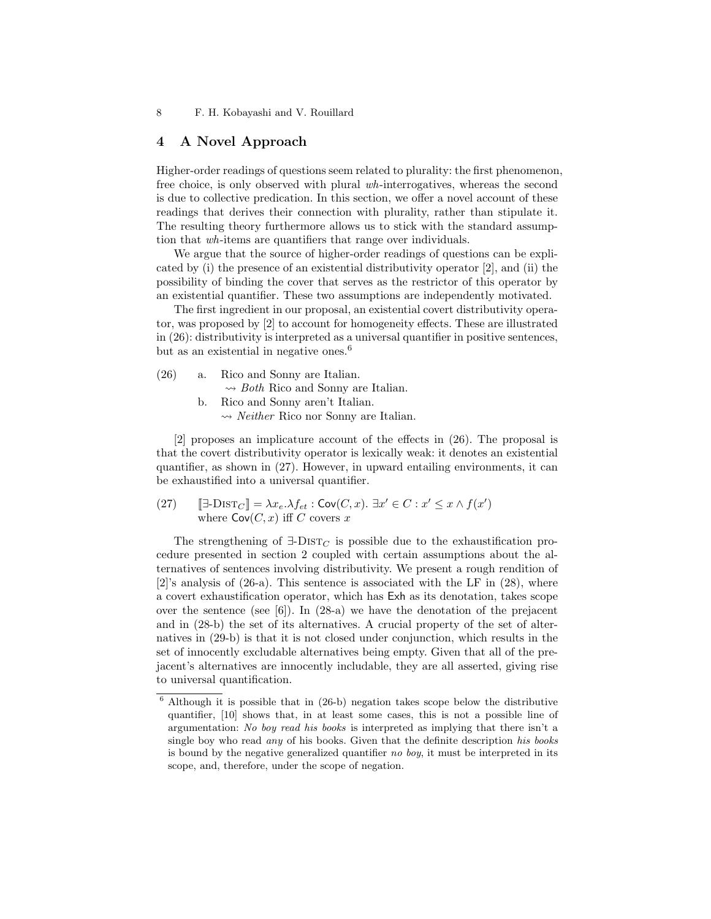## 4 A Novel Approach

Higher-order readings of questions seem related to plurality: the first phenomenon, free choice, is only observed with plural wh-interrogatives, whereas the second is due to collective predication. In this section, we offer a novel account of these readings that derives their connection with plurality, rather than stipulate it. The resulting theory furthermore allows us to stick with the standard assumption that wh-items are quantifiers that range over individuals.

We argue that the source of higher-order readings of questions can be explicated by (i) the presence of an existential distributivity operator [2], and (ii) the possibility of binding the cover that serves as the restrictor of this operator by an existential quantifier. These two assumptions are independently motivated.

The first ingredient in our proposal, an existential covert distributivity operator, was proposed by [2] to account for homogeneity effects. These are illustrated in (26): distributivity is interpreted as a universal quantifier in positive sentences, but as an existential in negative ones.<sup>6</sup>

| (26) | a. | Rico and Sonny are Italian.                                   |
|------|----|---------------------------------------------------------------|
|      |    | $\rightarrow$ <i>Both</i> Rico and Sonny are Italian.         |
|      |    | Rico and Sonny aren't Italian.                                |
|      |    | $\rightsquigarrow$ <i>Neither</i> Rico nor Sonny are Italian. |

[2] proposes an implicature account of the effects in (26). The proposal is that the covert distributivity operator is lexically weak: it denotes an existential quantifier, as shown in (27). However, in upward entailing environments, it can be exhaustified into a universal quantifier.

(27)  $[\exists\text{-}DIST_C] = \lambda x_e.\lambda f_{et} : \text{Cov}(C, x) \cdot \exists x' \in C : x' \leq x \wedge f(x')$ where  $\text{Cov}(C, x)$  iff C covers x

The strengthening of  $\exists$ -DIST<sub>C</sub> is possible due to the exhaustification procedure presented in section 2 coupled with certain assumptions about the alternatives of sentences involving distributivity. We present a rough rendition of  $[2]$ 's analysis of  $(26-a)$ . This sentence is associated with the LF in  $(28)$ , where a covert exhaustification operator, which has Exh as its denotation, takes scope over the sentence (see [6]). In (28-a) we have the denotation of the prejacent and in (28-b) the set of its alternatives. A crucial property of the set of alternatives in (29-b) is that it is not closed under conjunction, which results in the set of innocently excludable alternatives being empty. Given that all of the prejacent's alternatives are innocently includable, they are all asserted, giving rise to universal quantification.

<sup>6</sup> Although it is possible that in (26-b) negation takes scope below the distributive quantifier, [10] shows that, in at least some cases, this is not a possible line of argumentation: No boy read his books is interpreted as implying that there isn't a single boy who read *any* of his books. Given that the definite description his books is bound by the negative generalized quantifier no boy, it must be interpreted in its scope, and, therefore, under the scope of negation.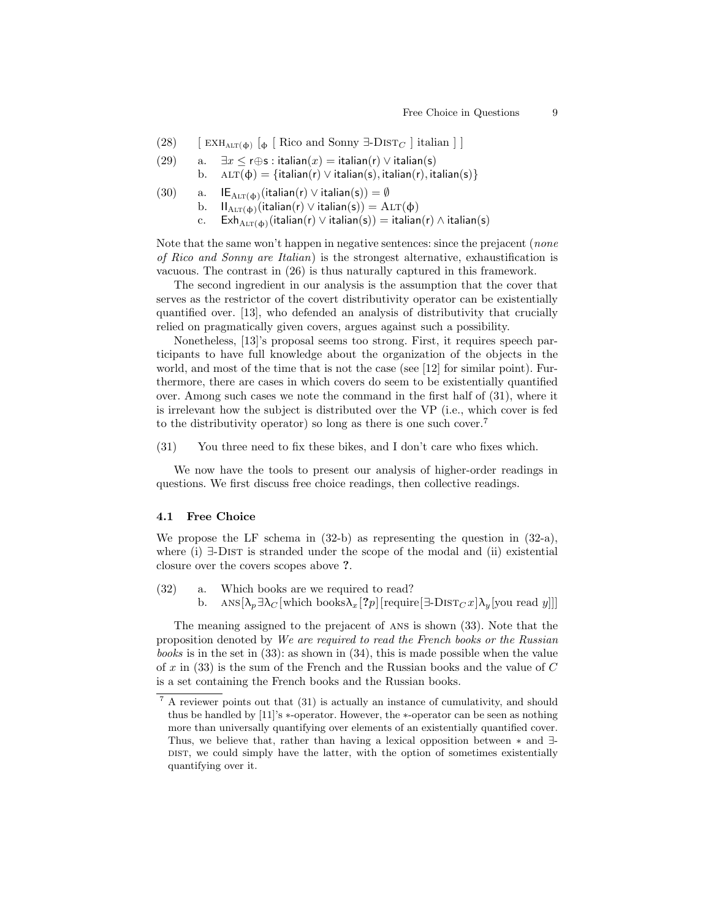- (28) [  $\text{EXH}_{\text{ALT}(\phi)}$  [ $\phi$  [ Rico and Sonny  $\exists$ -DIST<sub>C</sub> ] italian ] ]
- (29) a.  $\exists x \leq r \oplus s : \text{italian}(x) = \text{italian}(r) \vee \text{italian}(s)$

b. 
$$
ALT(\phi) = \{italian(r) \lor italian(s), italian(r), italian(s)\}
$$

- (30) a. IE $_{\text{ALT}(\phi)}$ (italian(r)  $\vee$  italian(s)) = Ø
	- b.  $II_{\text{ALT}(\phi)}(\text{italian}(r) \vee \text{italian}(s)) = \text{ALT}(\phi)$ 
		- c.  $\mathsf{Exh}_{\mathrm{ALT}(\phi)}(\mathrm{italian}(r) \vee \mathrm{italian}(s)) = \mathrm{italian}(r) \wedge \mathrm{italian}(s)$

Note that the same won't happen in negative sentences: since the prejacent (*none*) of Rico and Sonny are Italian) is the strongest alternative, exhaustification is vacuous. The contrast in (26) is thus naturally captured in this framework.

The second ingredient in our analysis is the assumption that the cover that serves as the restrictor of the covert distributivity operator can be existentially quantified over. [13], who defended an analysis of distributivity that crucially relied on pragmatically given covers, argues against such a possibility.

Nonetheless, [13]'s proposal seems too strong. First, it requires speech participants to have full knowledge about the organization of the objects in the world, and most of the time that is not the case (see [12] for similar point). Furthermore, there are cases in which covers do seem to be existentially quantified over. Among such cases we note the command in the first half of (31), where it is irrelevant how the subject is distributed over the VP (i.e., which cover is fed to the distributivity operator) so long as there is one such cover.<sup>7</sup>

(31) You three need to fix these bikes, and I don't care who fixes which.

We now have the tools to present our analysis of higher-order readings in questions. We first discuss free choice readings, then collective readings.

#### 4.1 Free Choice

We propose the LF schema in (32-b) as representing the question in (32-a), where (i)  $\exists$ -DIST is stranded under the scope of the modal and (ii) existential closure over the covers scopes above ?.

(32) a. Which books are we required to read? b. ANS $[\lambda_p \exists \lambda_C [\text{which books} \lambda_x]^2 p]$ [require] $\exists$ -DIST $_C x$ ] $\lambda_y$ [you read y]]]

The meaning assigned to the prejacent of ans is shown (33). Note that the proposition denoted by We are required to read the French books or the Russian books is in the set in (33): as shown in (34), this is made possible when the value of x in  $(33)$  is the sum of the French and the Russian books and the value of C is a set containing the French books and the Russian books.

<sup>7</sup> A reviewer points out that (31) is actually an instance of cumulativity, and should thus be handled by [11]'s ∗-operator. However, the ∗-operator can be seen as nothing more than universally quantifying over elements of an existentially quantified cover. Thus, we believe that, rather than having a lexical opposition between ∗ and ∃- DIST, we could simply have the latter, with the option of sometimes existentially quantifying over it.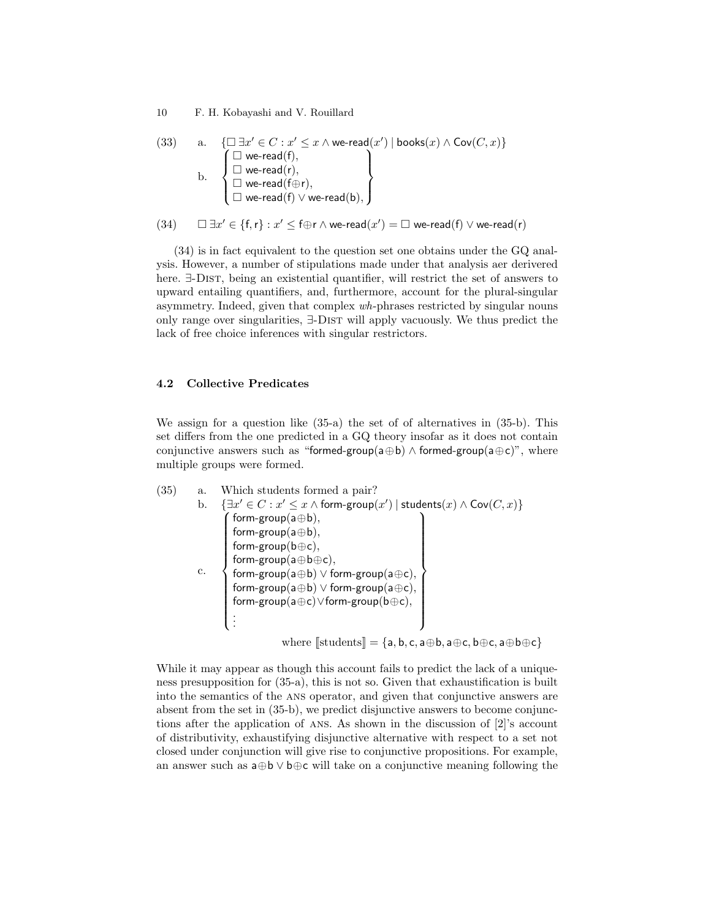10 F. H. Kobayashi and V. Rouillard

$$
\begin{array}{ll} \text{(33)} & \text{ a.} & \{\Box\, \exists x' \in C: x' \leq x \land \text{we-read}(x') \mid \text{books}(x) \land \text{Cov}(C, x) \} \\ & \text{ b.} & \left\{\begin{array}{l} \Box \text{ we-read}(f), \\ \Box \text{ we-read}(f), \\ \Box \text{ we-read}(f \oplus r), \\ \Box \text{ we-read}(f) \lor \text{ we-read}(b), \end{array} \right\} \end{array}
$$

$$
(34) \qquad \Box \ \exists x' \in \{f,r\} : x' \leq f \oplus r \land we\text{-}read(x') = \Box \ we\text{-}read(f) \lor we\text{-}read(r)
$$

(34) is in fact equivalent to the question set one obtains under the GQ analysis. However, a number of stipulations made under that analysis aer derivered here. ∃-Dist, being an existential quantifier, will restrict the set of answers to upward entailing quantifiers, and, furthermore, account for the plural-singular asymmetry. Indeed, given that complex wh-phrases restricted by singular nouns only range over singularities, ∃-Dist will apply vacuously. We thus predict the lack of free choice inferences with singular restrictors.

### 4.2 Collective Predicates

We assign for a question like (35-a) the set of of alternatives in (35-b). This set differs from the one predicted in a GQ theory insofar as it does not contain conjunctive answers such as "formed-group(a⊕b)  $\land$  formed-group(a⊕c)", where multiple groups were formed.

(35) a. Which students formed a pair? b. {∃x <sup>0</sup> ∈ C : x <sup>0</sup> ≤ x ∧ form-group(x 0 ) | students(x) ∧ Cov(C, x)} c. form-group(a⊕b), form-group(a⊕b), form-group(b⊕c), form-group(a⊕b⊕c), form-group(a⊕b) ∨ form-group(a⊕c), form-group(a⊕b) ∨ form-group(a⊕c), form-group(a⊕c)∨form-group(b⊕c), . . . where [[students]] = {a, b, c, a⊕b, a⊕c, b⊕c, a⊕b⊕c}

While it may appear as though this account fails to predict the lack of a uniqueness presupposition for (35-a), this is not so. Given that exhaustification is built into the semantics of the ans operator, and given that conjunctive answers are absent from the set in (35-b), we predict disjunctive answers to become conjunctions after the application of ans. As shown in the discussion of [2]'s account of distributivity, exhaustifying disjunctive alternative with respect to a set not closed under conjunction will give rise to conjunctive propositions. For example, an answer such as a⊕b ∨ b⊕c will take on a conjunctive meaning following the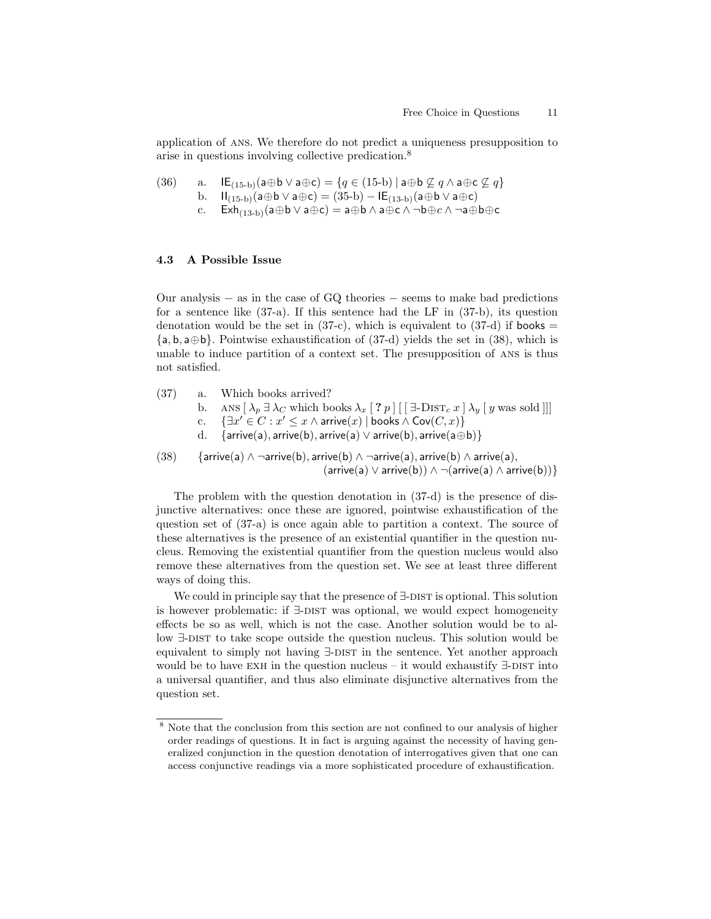application of ans. We therefore do not predict a uniqueness presupposition to arise in questions involving collective predication.<sup>8</sup>

(36) a. 
$$
\mathsf{IE}_{(15-b)}(\mathsf{a} \oplus \mathsf{b} \vee \mathsf{a} \oplus \mathsf{c}) = \{q \in (15-b) \mid \mathsf{a} \oplus \mathsf{b} \not\subseteq q \wedge \mathsf{a} \oplus \mathsf{c} \not\subseteq q\}
$$

- b. II<sub>(15-b)</sub>(a⊕b ∨ a⊕c) = (35-b) IE<sub>(13-b)</sub>(a⊕b ∨ a⊕c)
	- $\text{Exh}_{(13-b)}(a\oplus b\vee a\oplus c)=a\oplus b\wedge a\oplus c\wedge \neg b\oplus c\wedge \neg a\oplus b\oplus c$

### 4.3 A Possible Issue

Our analysis − as in the case of GQ theories − seems to make bad predictions for a sentence like (37-a). If this sentence had the LF in (37-b), its question denotation would be the set in  $(37-c)$ , which is equivalent to  $(37-d)$  if books =  $\{a, b, a \oplus b\}$ . Pointwise exhaustification of (37-d) yields the set in (38), which is unable to induce partition of a context set. The presupposition of ans is thus not satisfied.

(37) a. Which books arrived? b. ANS  $[\lambda_p \exists \lambda_C \text{ which books } \lambda_x [ ? p ] [ [\exists \exists \text{DIST}_c x] \lambda_y [ y \text{ was sold} ] ] ]$ c.  $\{\exists x' \in C : x' \leq x \land \text{arrive}(x) \mid \text{books} \land \text{Cov}(C, x)\}$  $\{arrive(a), arrive(b), arrive(a) \vee arrive(b), arrive(a \oplus b)\}$ 

(38) {arrive(a) ∧ ¬arrive(b), arrive(b) ∧ ¬arrive(a), arrive(b) ∧ arrive(a),  $(\text{arrive}(a) \vee \text{arrive}(b)) \wedge \neg(\text{arrive}(a) \wedge \text{arrive}(b))$ 

The problem with the question denotation in (37-d) is the presence of disjunctive alternatives: once these are ignored, pointwise exhaustification of the question set of (37-a) is once again able to partition a context. The source of these alternatives is the presence of an existential quantifier in the question nucleus. Removing the existential quantifier from the question nucleus would also remove these alternatives from the question set. We see at least three different ways of doing this.

We could in principle say that the presence of  $\exists$ -DIST is optional. This solution is however problematic: if ∃-DIST was optional, we would expect homogeneity effects be so as well, which is not the case. Another solution would be to allow ∃-DIST to take scope outside the question nucleus. This solution would be equivalent to simply not having  $∃$ -DIST in the sentence. Yet another approach would be to have EXH in the question nucleus – it would exhaustify  $\exists$ -DIST into a universal quantifier, and thus also eliminate disjunctive alternatives from the question set.

 $8$  Note that the conclusion from this section are not confined to our analysis of higher order readings of questions. It in fact is arguing against the necessity of having generalized conjunction in the question denotation of interrogatives given that one can access conjunctive readings via a more sophisticated procedure of exhaustification.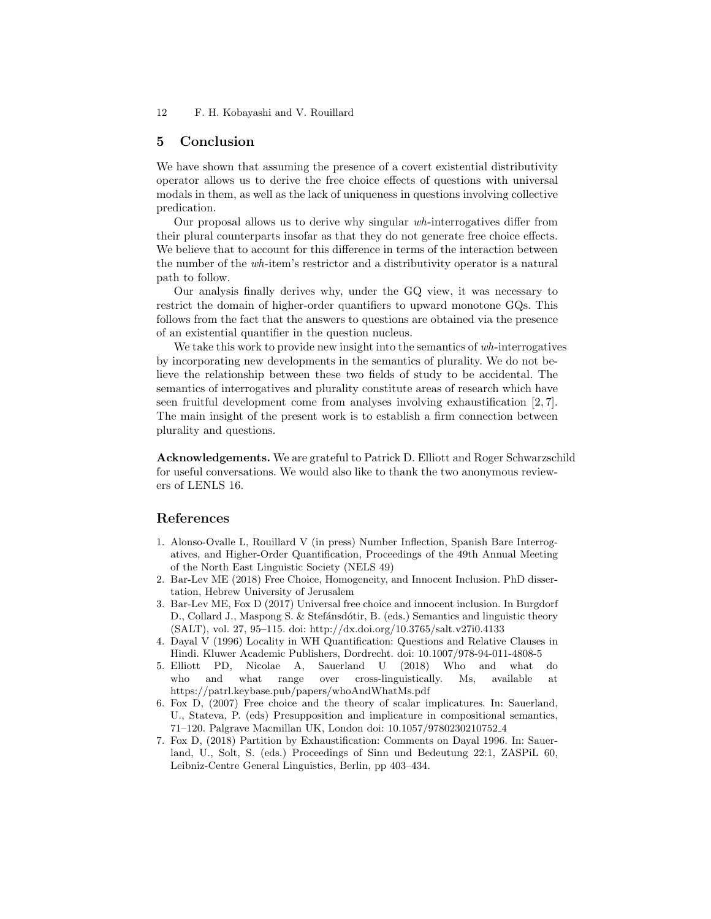12 F. H. Kobayashi and V. Rouillard

## 5 Conclusion

We have shown that assuming the presence of a covert existential distributivity operator allows us to derive the free choice effects of questions with universal modals in them, as well as the lack of uniqueness in questions involving collective predication.

Our proposal allows us to derive why singular wh-interrogatives differ from their plural counterparts insofar as that they do not generate free choice effects. We believe that to account for this difference in terms of the interaction between the number of the wh-item's restrictor and a distributivity operator is a natural path to follow.

Our analysis finally derives why, under the GQ view, it was necessary to restrict the domain of higher-order quantifiers to upward monotone GQs. This follows from the fact that the answers to questions are obtained via the presence of an existential quantifier in the question nucleus.

We take this work to provide new insight into the semantics of wh-interrogatives by incorporating new developments in the semantics of plurality. We do not believe the relationship between these two fields of study to be accidental. The semantics of interrogatives and plurality constitute areas of research which have seen fruitful development come from analyses involving exhaustification [2, 7]. The main insight of the present work is to establish a firm connection between plurality and questions.

Acknowledgements. We are grateful to Patrick D. Elliott and Roger Schwarzschild for useful conversations. We would also like to thank the two anonymous reviewers of LENLS 16.

## References

- 1. Alonso-Ovalle L, Rouillard V (in press) Number Inflection, Spanish Bare Interrogatives, and Higher-Order Quantification, Proceedings of the 49th Annual Meeting of the North East Linguistic Society (NELS 49)
- 2. Bar-Lev ME (2018) Free Choice, Homogeneity, and Innocent Inclusion. PhD dissertation, Hebrew University of Jerusalem
- 3. Bar-Lev ME, Fox D (2017) Universal free choice and innocent inclusion. In Burgdorf D., Collard J., Maspong S. & Stefánsdótir, B. (eds.) Semantics and linguistic theory (SALT), vol. 27, 95–115. doi: http://dx.doi.org/10.3765/salt.v27i0.4133
- 4. Dayal V (1996) Locality in WH Quantification: Questions and Relative Clauses in Hindi. Kluwer Academic Publishers, Dordrecht. doi: 10.1007/978-94-011-4808-5
- 5. Elliott PD, Nicolae A, Sauerland U (2018) Who and what do who and what range over cross-linguistically. Ms, available at https://patrl.keybase.pub/papers/whoAndWhatMs.pdf
- 6. Fox D, (2007) Free choice and the theory of scalar implicatures. In: Sauerland, U., Stateva, P. (eds) Presupposition and implicature in compositional semantics, 71–120. Palgrave Macmillan UK, London doi: 10.1057/9780230210752 4
- 7. Fox D, (2018) Partition by Exhaustification: Comments on Dayal 1996. In: Sauerland, U., Solt, S. (eds.) Proceedings of Sinn und Bedeutung 22:1, ZASPiL 60, Leibniz-Centre General Linguistics, Berlin, pp 403–434.